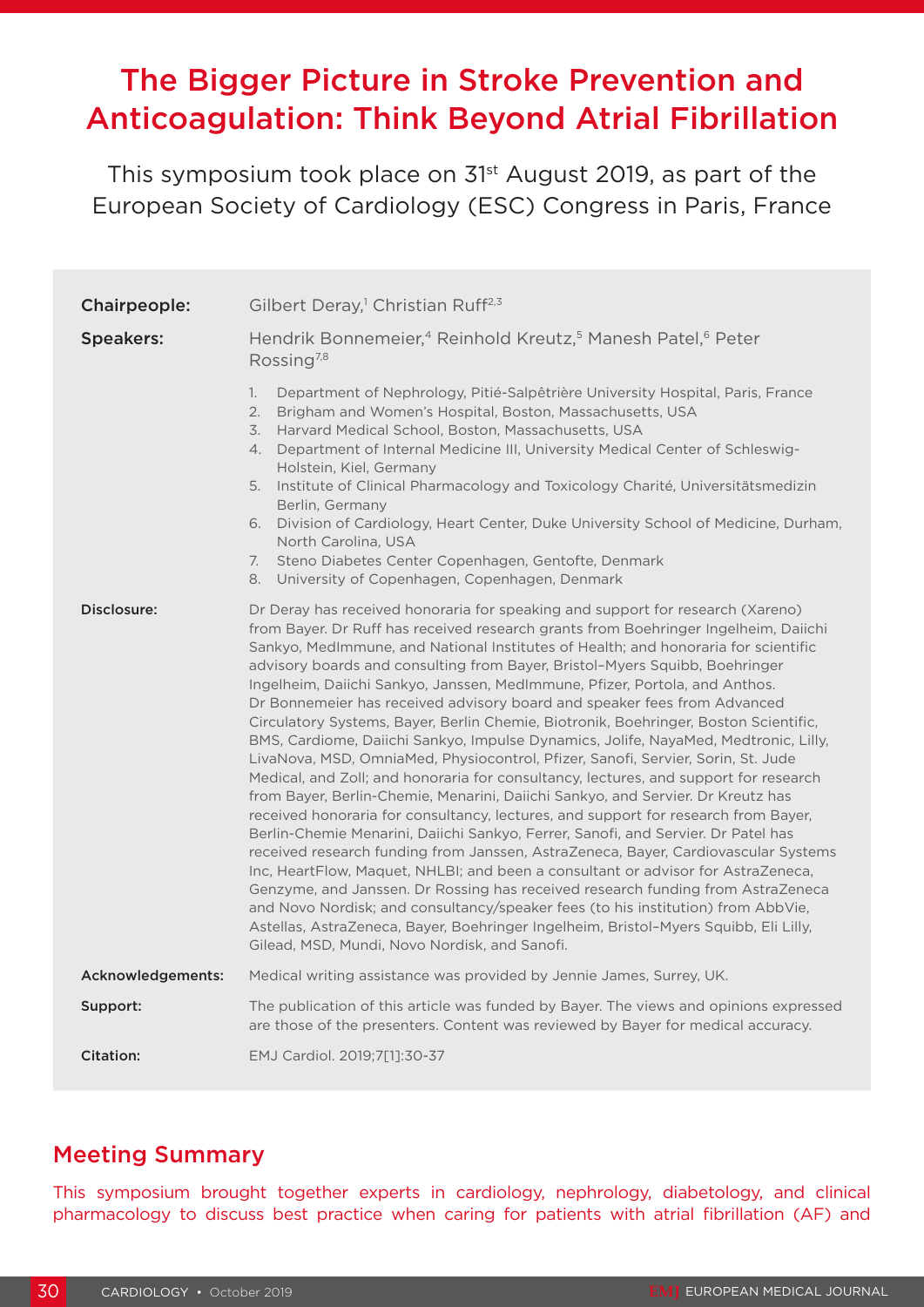# The Bigger Picture in Stroke Prevention and Anticoagulation: Think Beyond Atrial Fibrillation

This symposium took place on 31<sup>st</sup> August 2019, as part of the European Society of Cardiology (ESC) Congress in Paris, France

| Chairpeople:      | Gilbert Deray, <sup>1</sup> Christian Ruff <sup>2,3</sup>                                                                                                                                                                                                                                                                                                                                                                                                                                                                                                                                                                                                                                                                                                                                                                                                                                                                                                                                                                                                                                                                                                                                                                                                                                                                                                                                                                                                                                                                                                                                                                |  |  |  |  |
|-------------------|--------------------------------------------------------------------------------------------------------------------------------------------------------------------------------------------------------------------------------------------------------------------------------------------------------------------------------------------------------------------------------------------------------------------------------------------------------------------------------------------------------------------------------------------------------------------------------------------------------------------------------------------------------------------------------------------------------------------------------------------------------------------------------------------------------------------------------------------------------------------------------------------------------------------------------------------------------------------------------------------------------------------------------------------------------------------------------------------------------------------------------------------------------------------------------------------------------------------------------------------------------------------------------------------------------------------------------------------------------------------------------------------------------------------------------------------------------------------------------------------------------------------------------------------------------------------------------------------------------------------------|--|--|--|--|
| <b>Speakers:</b>  | Hendrik Bonnemeier, <sup>4</sup> Reinhold Kreutz, <sup>5</sup> Manesh Patel, <sup>6</sup> Peter<br>Rossing <sup>7,8</sup>                                                                                                                                                                                                                                                                                                                                                                                                                                                                                                                                                                                                                                                                                                                                                                                                                                                                                                                                                                                                                                                                                                                                                                                                                                                                                                                                                                                                                                                                                                |  |  |  |  |
|                   | Department of Nephrology, Pitié-Salpêtrière University Hospital, Paris, France<br>1.<br>2.<br>Brigham and Women's Hospital, Boston, Massachusetts, USA<br>3.<br>Harvard Medical School, Boston, Massachusetts, USA<br>Department of Internal Medicine III, University Medical Center of Schleswig-<br>4.<br>Holstein, Kiel, Germany<br>Institute of Clinical Pharmacology and Toxicology Charité, Universitätsmedizin<br>5.<br>Berlin, Germany<br>6. Division of Cardiology, Heart Center, Duke University School of Medicine, Durham,<br>North Carolina, USA<br>Steno Diabetes Center Copenhagen, Gentofte, Denmark<br>7.<br>University of Copenhagen, Copenhagen, Denmark<br>8.                                                                                                                                                                                                                                                                                                                                                                                                                                                                                                                                                                                                                                                                                                                                                                                                                                                                                                                                        |  |  |  |  |
| Disclosure:       | Dr Deray has received honoraria for speaking and support for research (Xareno)<br>from Bayer. Dr Ruff has received research grants from Boehringer Ingelheim, Daiichi<br>Sankyo, MedImmune, and National Institutes of Health; and honoraria for scientific<br>advisory boards and consulting from Bayer, Bristol-Myers Squibb, Boehringer<br>Ingelheim, Daiichi Sankyo, Janssen, MedImmune, Pfizer, Portola, and Anthos.<br>Dr Bonnemeier has received advisory board and speaker fees from Advanced<br>Circulatory Systems, Bayer, Berlin Chemie, Biotronik, Boehringer, Boston Scientific,<br>BMS, Cardiome, Daiichi Sankyo, Impulse Dynamics, Jolife, NayaMed, Medtronic, Lilly,<br>LivaNova, MSD, OmniaMed, Physiocontrol, Pfizer, Sanofi, Servier, Sorin, St. Jude<br>Medical, and Zoll; and honoraria for consultancy, lectures, and support for research<br>from Bayer, Berlin-Chemie, Menarini, Daiichi Sankyo, and Servier. Dr Kreutz has<br>received honoraria for consultancy, lectures, and support for research from Bayer,<br>Berlin-Chemie Menarini, Daiichi Sankyo, Ferrer, Sanofi, and Servier. Dr Patel has<br>received research funding from Janssen, AstraZeneca, Bayer, Cardiovascular Systems<br>Inc, HeartFlow, Maquet, NHLBI; and been a consultant or advisor for AstraZeneca,<br>Genzyme, and Janssen. Dr Rossing has received research funding from AstraZeneca<br>and Novo Nordisk; and consultancy/speaker fees (to his institution) from AbbVie,<br>Astellas, AstraZeneca, Bayer, Boehringer Ingelheim, Bristol-Myers Squibb, Eli Lilly,<br>Gilead, MSD, Mundi, Novo Nordisk, and Sanofi. |  |  |  |  |
| Acknowledgements: | Medical writing assistance was provided by Jennie James, Surrey, UK.                                                                                                                                                                                                                                                                                                                                                                                                                                                                                                                                                                                                                                                                                                                                                                                                                                                                                                                                                                                                                                                                                                                                                                                                                                                                                                                                                                                                                                                                                                                                                     |  |  |  |  |
| Support:          | The publication of this article was funded by Bayer. The views and opinions expressed<br>are those of the presenters. Content was reviewed by Bayer for medical accuracy.                                                                                                                                                                                                                                                                                                                                                                                                                                                                                                                                                                                                                                                                                                                                                                                                                                                                                                                                                                                                                                                                                                                                                                                                                                                                                                                                                                                                                                                |  |  |  |  |
| Citation:         | EMJ Cardiol. 2019;7[1]:30-37                                                                                                                                                                                                                                                                                                                                                                                                                                                                                                                                                                                                                                                                                                                                                                                                                                                                                                                                                                                                                                                                                                                                                                                                                                                                                                                                                                                                                                                                                                                                                                                             |  |  |  |  |

### Meeting Summary

This symposium brought together experts in cardiology, nephrology, diabetology, and clinical pharmacology to discuss best practice when caring for patients with atrial fibrillation (AF) and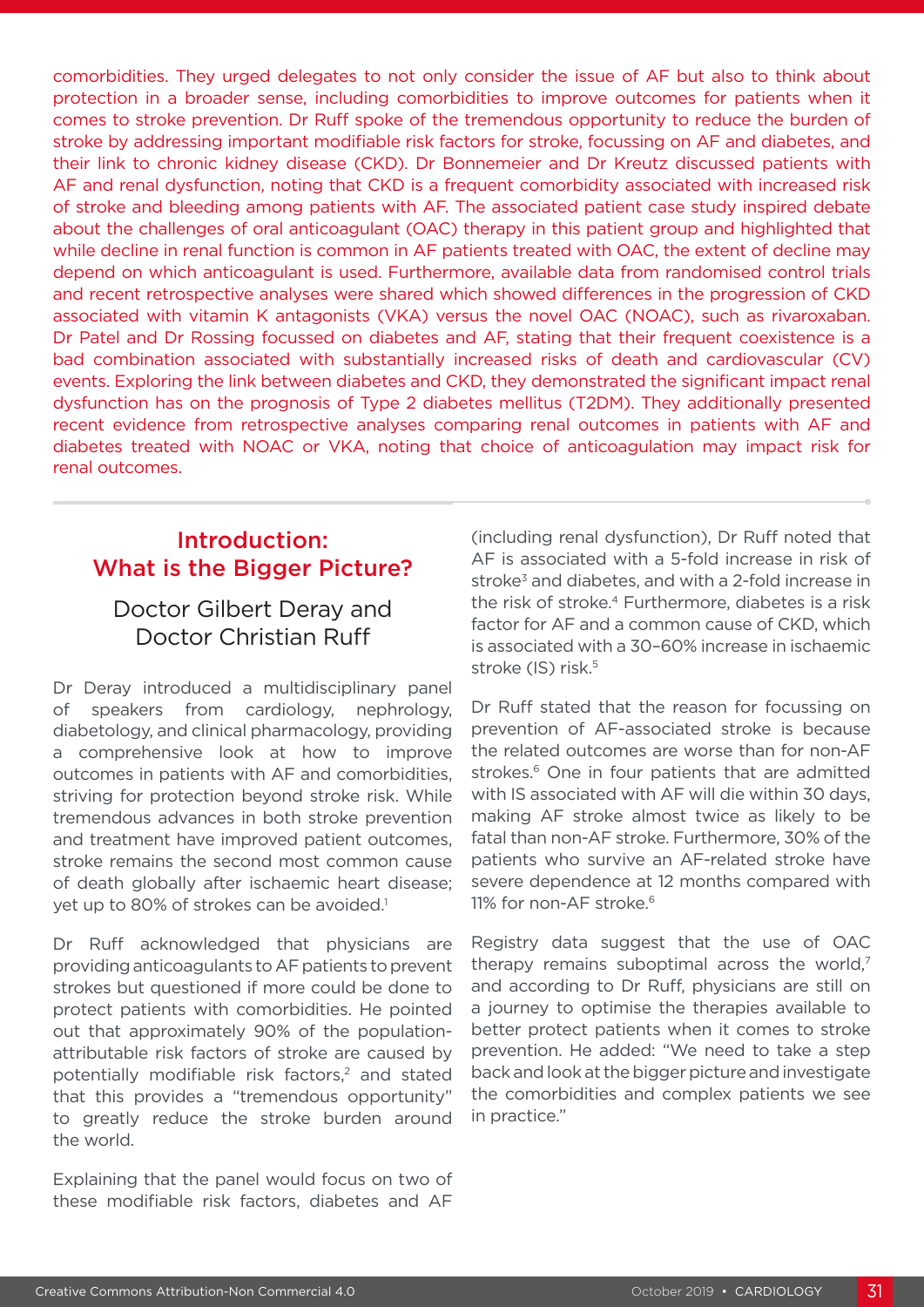comorbidities. They urged delegates to not only consider the issue of AF but also to think about protection in a broader sense, including comorbidities to improve outcomes for patients when it comes to stroke prevention. Dr Ruff spoke of the tremendous opportunity to reduce the burden of stroke by addressing important modifiable risk factors for stroke, focussing on AF and diabetes, and their link to chronic kidney disease (CKD). Dr Bonnemeier and Dr Kreutz discussed patients with AF and renal dysfunction, noting that CKD is a frequent comorbidity associated with increased risk of stroke and bleeding among patients with AF. The associated patient case study inspired debate about the challenges of oral anticoagulant (OAC) therapy in this patient group and highlighted that while decline in renal function is common in AF patients treated with OAC, the extent of decline may depend on which anticoagulant is used. Furthermore, available data from randomised control trials and recent retrospective analyses were shared which showed differences in the progression of CKD associated with vitamin K antagonists (VKA) versus the novel OAC (NOAC), such as rivaroxaban. Dr Patel and Dr Rossing focussed on diabetes and AF, stating that their frequent coexistence is a bad combination associated with substantially increased risks of death and cardiovascular (CV) events. Exploring the link between diabetes and CKD, they demonstrated the significant impact renal dysfunction has on the prognosis of Type 2 diabetes mellitus (T2DM). They additionally presented recent evidence from retrospective analyses comparing renal outcomes in patients with AF and diabetes treated with NOAC or VKA, noting that choice of anticoagulation may impact risk for renal outcomes.

# Introduction: What is the Bigger Picture?

# Doctor Gilbert Deray and Doctor Christian Ruff

Dr Deray introduced a multidisciplinary panel of speakers from cardiology, nephrology, diabetology, and clinical pharmacology, providing a comprehensive look at how to improve outcomes in patients with AF and comorbidities, striving for protection beyond stroke risk. While tremendous advances in both stroke prevention and treatment have improved patient outcomes, stroke remains the second most common cause of death globally after ischaemic heart disease; yet up to 80% of strokes can be avoided.<sup>1</sup>

Dr Ruff acknowledged that physicians are providing anticoagulants to AF patients to prevent strokes but questioned if more could be done to protect patients with comorbidities. He pointed out that approximately 90% of the populationattributable risk factors of stroke are caused by potentially modifiable risk factors,<sup>2</sup> and stated that this provides a "tremendous opportunity" to greatly reduce the stroke burden around the world.

Explaining that the panel would focus on two of these modifiable risk factors, diabetes and AF

(including renal dysfunction), Dr Ruff noted that AF is associated with a 5-fold increase in risk of stroke<sup>3</sup> and diabetes, and with a 2-fold increase in the risk of stroke.<sup>4</sup> Furthermore, diabetes is a risk factor for AF and a common cause of CKD, which is associated with a 30–60% increase in ischaemic stroke (IS) risk.<sup>5</sup>

Dr Ruff stated that the reason for focussing on prevention of AF-associated stroke is because the related outcomes are worse than for non-AF strokes.<sup>6</sup> One in four patients that are admitted with IS associated with AF will die within 30 days, making AF stroke almost twice as likely to be fatal than non-AF stroke. Furthermore, 30% of the patients who survive an AF-related stroke have severe dependence at 12 months compared with 11% for non-AF stroke.<sup>6</sup>

Registry data suggest that the use of OAC therapy remains suboptimal across the world, $<sup>7</sup>$ </sup> and according to Dr Ruff, physicians are still on a journey to optimise the therapies available to better protect patients when it comes to stroke prevention. He added: "We need to take a step back and look at the bigger picture and investigate the comorbidities and complex patients we see in practice."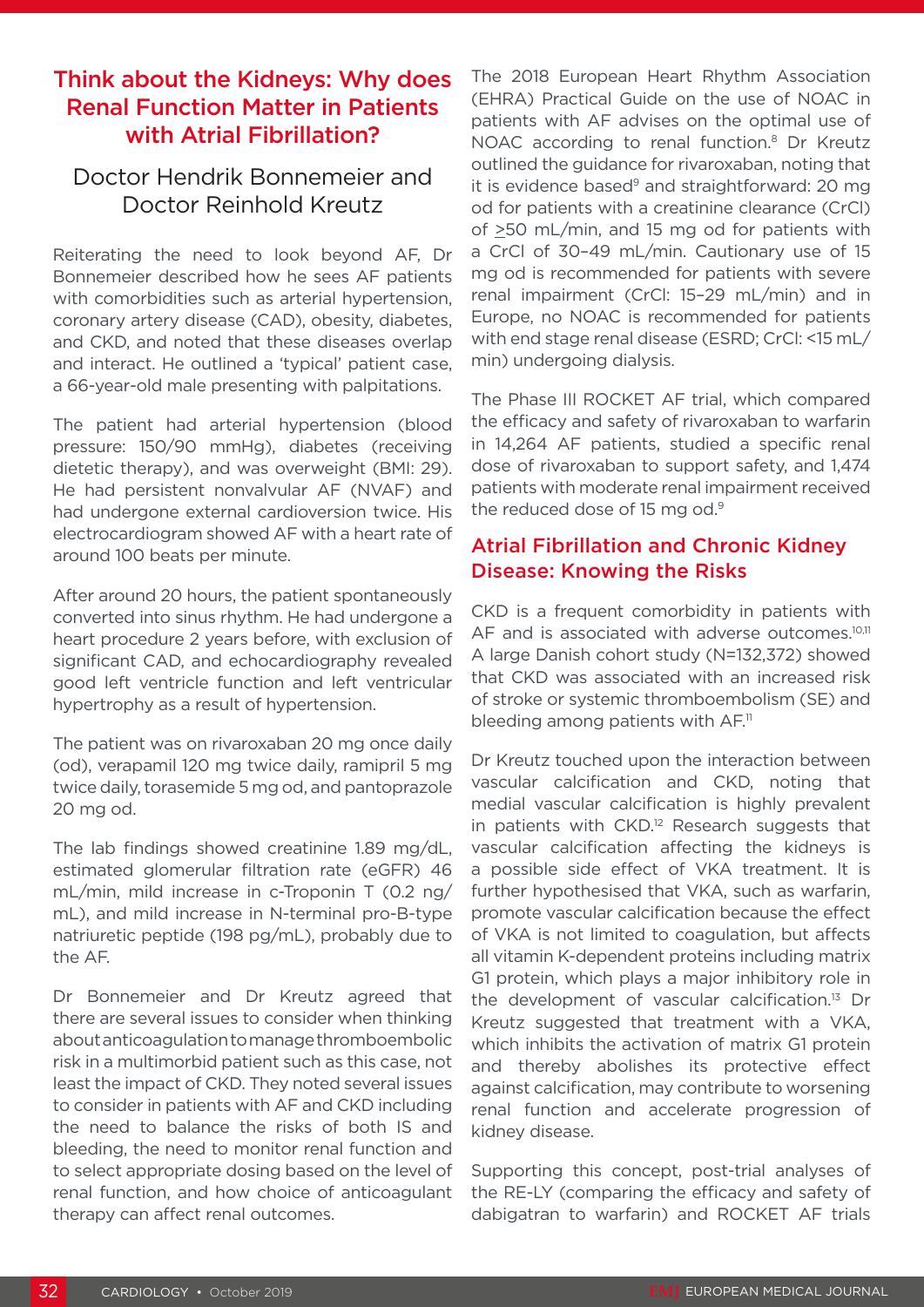## Think about the Kidneys: Why does Renal Function Matter in Patients with Atrial Fibrillation?

### Doctor Hendrik Bonnemeier and Doctor Reinhold Kreutz

Reiterating the need to look beyond AF, Dr Bonnemeier described how he sees AF patients with comorbidities such as arterial hypertension. coronary artery disease (CAD), obesity, diabetes, and CKD, and noted that these diseases overlap and interact. He outlined a 'typical' patient case, a 66-year-old male presenting with palpitations.

The patient had arterial hypertension (blood pressure: 150/90 mmHg), diabetes (receiving dietetic therapy), and was overweight (BMI: 29). He had persistent nonvalvular AF (NVAF) and had undergone external cardioversion twice. His electrocardiogram showed AF with a heart rate of around 100 beats per minute.

After around 20 hours, the patient spontaneously converted into sinus rhythm. He had undergone a heart procedure 2 years before, with exclusion of significant CAD, and echocardiography revealed good left ventricle function and left ventricular hypertrophy as a result of hypertension.

The patient was on rivaroxaban 20 mg once daily (od), verapamil 120 mg twice daily, ramipril 5 mg twice daily, torasemide 5 mg od, and pantoprazole 20 mg od.

The lab findings showed creatinine 1.89 mg/dL, estimated glomerular filtration rate (eGFR) 46 mL/min, mild increase in c-Troponin T (0.2 ng/ mL), and mild increase in N-terminal pro-B-type natriuretic peptide (198 pg/mL), probably due to the AF.

Dr Bonnemeier and Dr Kreutz agreed that there are several issues to consider when thinking about anticoagulation to manage thromboembolic risk in a multimorbid patient such as this case, not least the impact of CKD. They noted several issues to consider in patients with AF and CKD including the need to balance the risks of both IS and bleeding, the need to monitor renal function and to select appropriate dosing based on the level of renal function, and how choice of anticoagulant therapy can affect renal outcomes.

The 2018 European Heart Rhythm Association (EHRA) Practical Guide on the use of NOAC in patients with AF advises on the optimal use of NOAC according to renal function.<sup>8</sup> Dr Kreutz outlined the guidance for rivaroxaban, noting that it is evidence based<sup>9</sup> and straightforward: 20 mg od for patients with a creatinine clearance (CrCl) of >50 mL/min, and 15 mg od for patients with a CrCl of 30–49 mL/min. Cautionary use of 15 mg od is recommended for patients with severe renal impairment (CrCl: 15–29 mL/min) and in Europe, no NOAC is recommended for patients with end stage renal disease (ESRD; CrCl: <15 mL/ min) undergoing dialysis.

The Phase III ROCKET AF trial, which compared the efficacy and safety of rivaroxaban to warfarin in 14,264 AF patients, studied a specific renal dose of rivaroxaban to support safety, and 1,474 patients with moderate renal impairment received the reduced dose of 15 mg od.<sup>9</sup>

### Atrial Fibrillation and Chronic Kidney Disease: Knowing the Risks

CKD is a frequent comorbidity in patients with AF and is associated with adverse outcomes.<sup>10,11</sup> A large Danish cohort study (N=132,372) showed that CKD was associated with an increased risk of stroke or systemic thromboembolism (SE) and bleeding among patients with  $AF$ .<sup>11</sup>

Dr Kreutz touched upon the interaction between vascular calcification and CKD, noting that medial vascular calcification is highly prevalent in patients with CKD.<sup>12</sup> Research suggests that vascular calcification affecting the kidneys is a possible side effect of VKA treatment. It is further hypothesised that VKA, such as warfarin, promote vascular calcification because the effect of VKA is not limited to coagulation, but affects all vitamin K-dependent proteins including matrix G1 protein, which plays a major inhibitory role in the development of vascular calcification.13 Dr Kreutz suggested that treatment with a VKA, which inhibits the activation of matrix G1 protein and thereby abolishes its protective effect against calcification, may contribute to worsening renal function and accelerate progression of kidney disease.

Supporting this concept, post-trial analyses of the RE-LY (comparing the efficacy and safety of dabigatran to warfarin) and ROCKET AF trials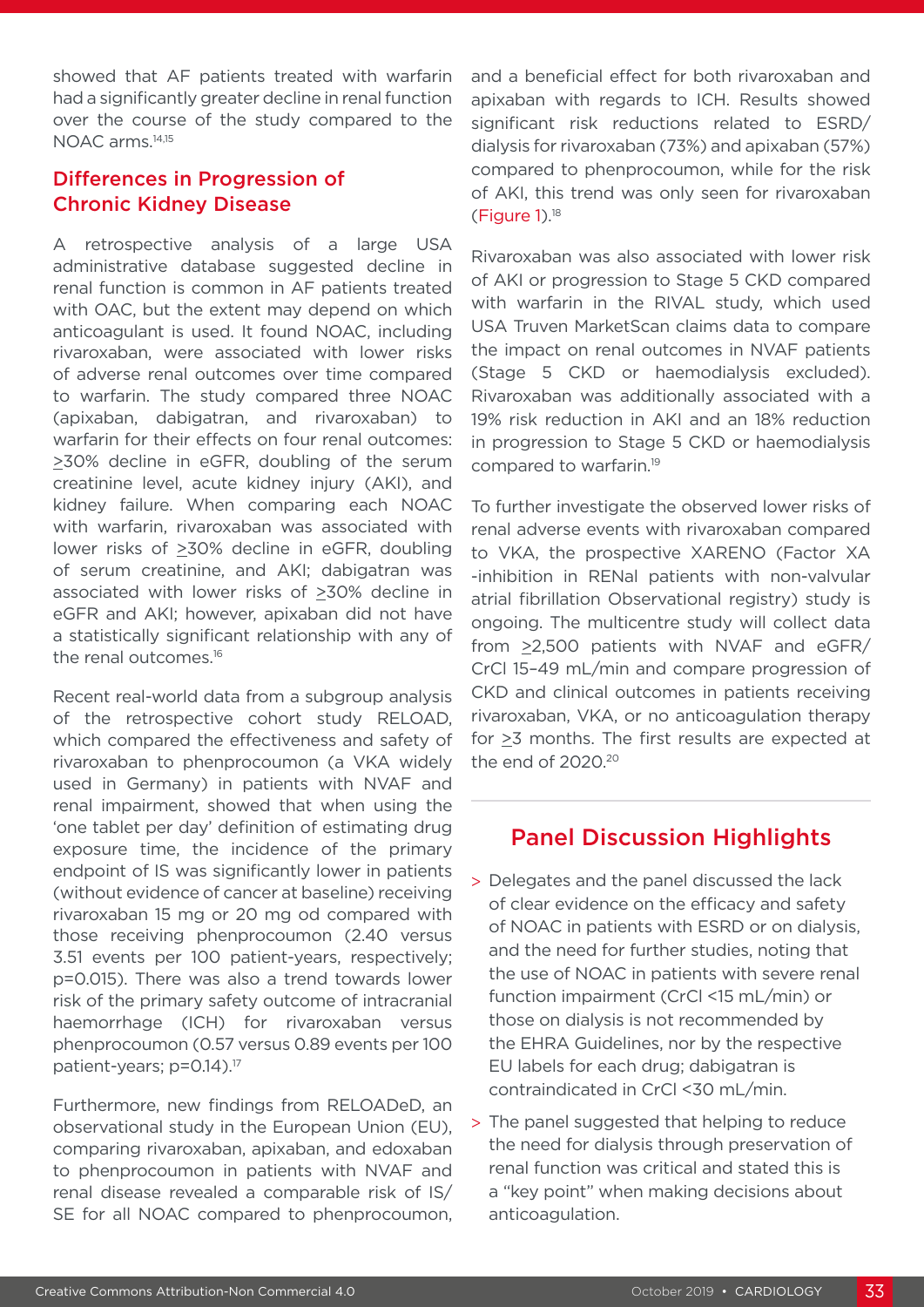showed that AF patients treated with warfarin had a significantly greater decline in renal function over the course of the study compared to the NOAC arms.14,15

### Differences in Progression of Chronic Kidney Disease

A retrospective analysis of a large USA administrative database suggested decline in renal function is common in AF patients treated with OAC, but the extent may depend on which anticoagulant is used. It found NOAC, including rivaroxaban, were associated with lower risks of adverse renal outcomes over time compared to warfarin. The study compared three NOAC (apixaban, dabigatran, and rivaroxaban) to warfarin for their effects on four renal outcomes: >30% decline in eGFR, doubling of the serum creatinine level, acute kidney injury (AKI), and kidney failure. When comparing each NOAC with warfarin, rivaroxaban was associated with lower risks of >30% decline in eGFR, doubling of serum creatinine, and AKI; dabigatran was associated with lower risks of >30% decline in eGFR and AKI; however, apixaban did not have a statistically significant relationship with any of the renal outcomes.<sup>16</sup>

Recent real-world data from a subgroup analysis of the retrospective cohort study RELOAD, which compared the effectiveness and safety of rivaroxaban to phenprocoumon (a VKA widely used in Germany) in patients with NVAF and renal impairment, showed that when using the 'one tablet per day' definition of estimating drug exposure time, the incidence of the primary endpoint of IS was significantly lower in patients (without evidence of cancer at baseline) receiving rivaroxaban 15 mg or 20 mg od compared with those receiving phenprocoumon (2.40 versus 3.51 events per 100 patient-years, respectively; p=0.015). There was also a trend towards lower risk of the primary safety outcome of intracranial haemorrhage (ICH) for rivaroxaban versus phenprocoumon (0.57 versus 0.89 events per 100 patient-years; p=0.14).<sup>17</sup>

Furthermore, new findings from RELOADeD, an observational study in the European Union (EU), comparing rivaroxaban, apixaban, and edoxaban to phenprocoumon in patients with NVAF and renal disease revealed a comparable risk of IS/ SE for all NOAC compared to phenprocoumon,

and a beneficial effect for both rivaroxaban and apixaban with regards to ICH. Results showed significant risk reductions related to ESRD/ dialysis for rivaroxaban (73%) and apixaban (57%) compared to phenprocoumon, while for the risk of AKI, this trend was only seen for rivaroxaban  $(Figure 1).<sup>18</sup>$ 

Rivaroxaban was also associated with lower risk of AKI or progression to Stage 5 CKD compared with warfarin in the RIVAL study, which used USA Truven MarketScan claims data to compare the impact on renal outcomes in NVAF patients (Stage 5 CKD or haemodialysis excluded). Rivaroxaban was additionally associated with a 19% risk reduction in AKI and an 18% reduction in progression to Stage 5 CKD or haemodialysis compared to warfarin.19

To further investigate the observed lower risks of renal adverse events with rivaroxaban compared to VKA, the prospective XARENO (Factor XA -inhibition in RENal patients with non-valvular atrial fibrillation Observational registry) study is ongoing. The multicentre study will collect data from  $\geq$ 2,500 patients with NVAF and eGFR/ CrCl 15–49 mL/min and compare progression of CKD and clinical outcomes in patients receiving rivaroxaban, VKA, or no anticoagulation therapy for >3 months. The first results are expected at the end of 2020.20

# Panel Discussion Highlights

- > Delegates and the panel discussed the lack of clear evidence on the efficacy and safety of NOAC in patients with ESRD or on dialysis, and the need for further studies, noting that the use of NOAC in patients with severe renal function impairment (CrCl <15 mL/min) or those on dialysis is not recommended by the EHRA Guidelines, nor by the respective EU labels for each drug; dabigatran is contraindicated in CrCl <30 mL/min.
- > The panel suggested that helping to reduce the need for dialysis through preservation of renal function was critical and stated this is a "key point" when making decisions about anticoagulation.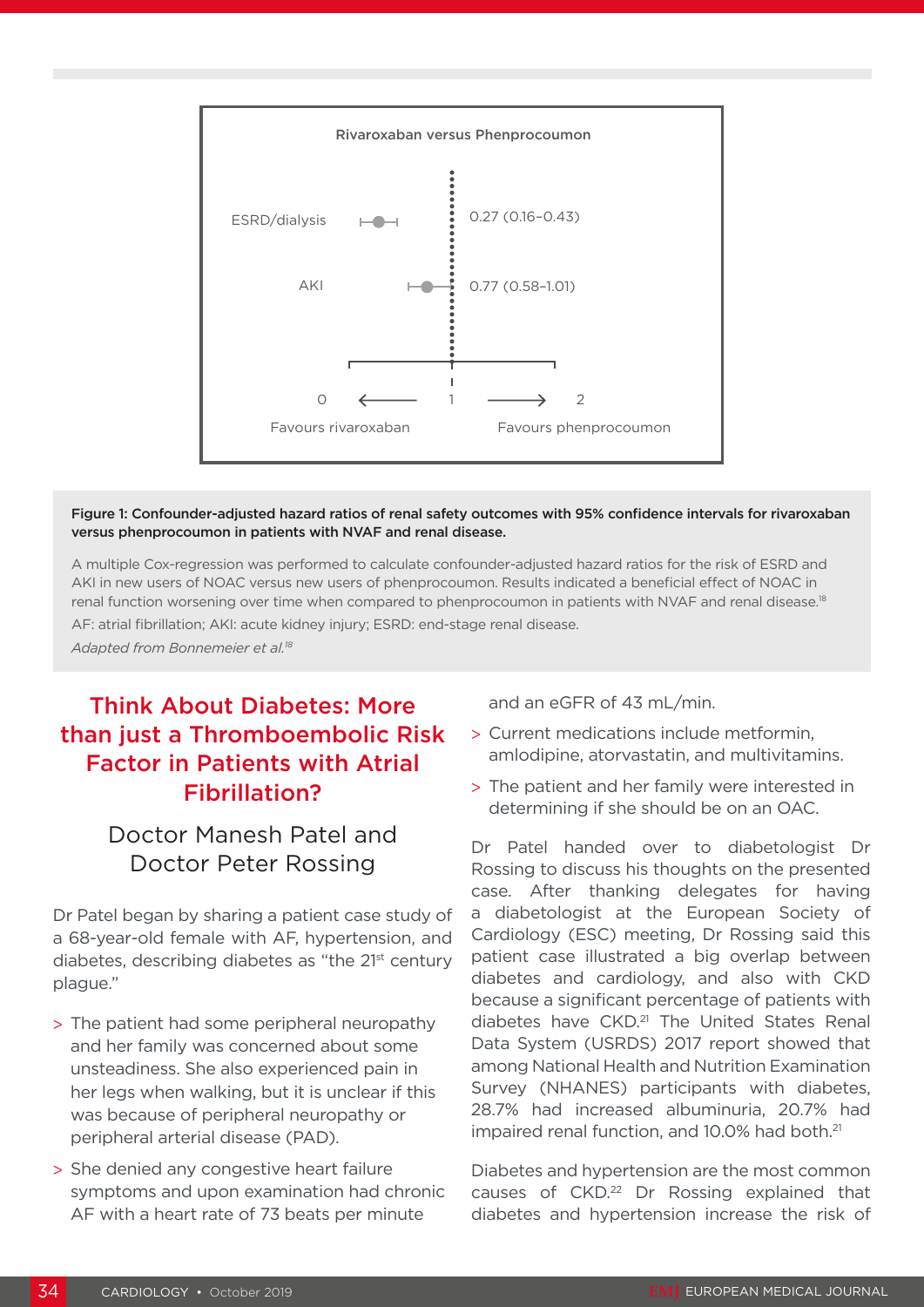

#### Figure 1: Confounder-adjusted hazard ratios of renal safety outcomes with 95% confidence intervals for rivaroxaban versus phenprocoumon in patients with NVAF and renal disease.

A multiple Cox-regression was performed to calculate confounder-adjusted hazard ratios for the risk of ESRD and AKI in new users of NOAC versus new users of phenprocoumon. Results indicated a beneficial effect of NOAC in renal function worsening over time when compared to phenprocoumon in patients with NVAF and renal disease.<sup>18</sup>

AF: atrial fibrillation; AKI: acute kidney injury; ESRD: end-stage renal disease.

*Adapted from Bonnemeier et al.18*

# Think About Diabetes: More than just a Thromboembolic Risk Factor in Patients with Atrial Fibrillation?

# Doctor Manesh Patel and Doctor Peter Rossing

Dr Patel began by sharing a patient case study of a 68-year-old female with AF, hypertension, and diabetes, describing diabetes as "the 21st century plague."

- > The patient had some peripheral neuropathy and her family was concerned about some unsteadiness. She also experienced pain in her legs when walking, but it is unclear if this was because of peripheral neuropathy or peripheral arterial disease (PAD).
- > She denied any congestive heart failure symptoms and upon examination had chronic AF with a heart rate of 73 beats per minute

and an eGFR of 43 mL/min.

- > Current medications include metformin, amlodipine, atorvastatin, and multivitamins.
- > The patient and her family were interested in determining if she should be on an OAC.

Dr Patel handed over to diabetologist Dr Rossing to discuss his thoughts on the presented case. After thanking delegates for having a diabetologist at the European Society of Cardiology (ESC) meeting, Dr Rossing said this patient case illustrated a big overlap between diabetes and cardiology, and also with CKD because a significant percentage of patients with diabetes have CKD.<sup>21</sup> The United States Renal Data System (USRDS) 2017 report showed that among National Health and Nutrition Examination Survey (NHANES) participants with diabetes, 28.7% had increased albuminuria, 20.7% had impaired renal function, and 10.0% had both.<sup>21</sup>

Diabetes and hypertension are the most common causes of CKD.<sup>22</sup> Dr Rossing explained that diabetes and hypertension increase the risk of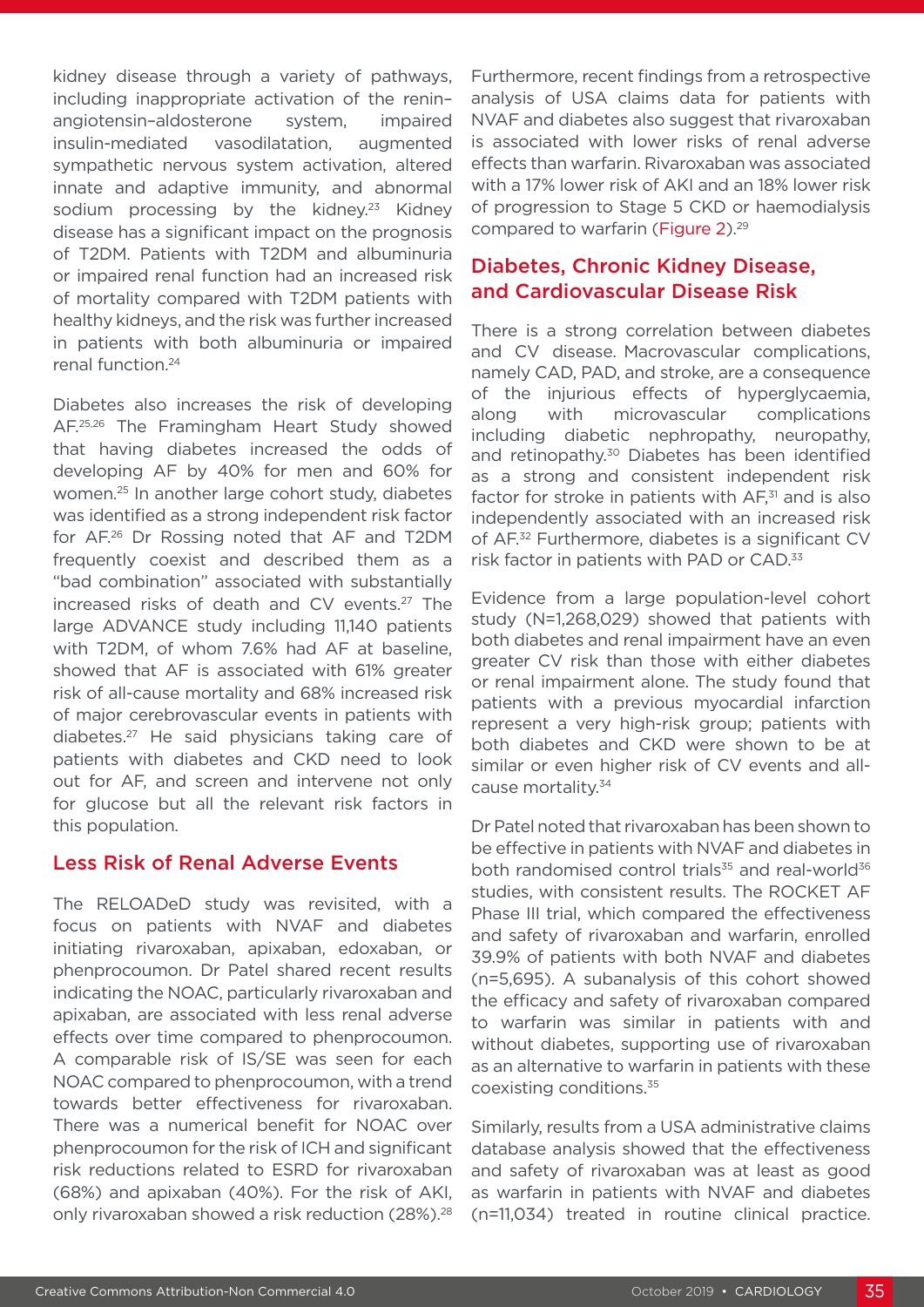kidney disease through a variety of pathways, including inappropriate activation of the renin– angiotensin–aldosterone system, impaired insulin-mediated vasodilatation, augmented sympathetic nervous system activation, altered innate and adaptive immunity, and abnormal sodium processing by the kidney.<sup>23</sup> Kidney disease has a significant impact on the prognosis of T2DM. Patients with T2DM and albuminuria or impaired renal function had an increased risk of mortality compared with T2DM patients with healthy kidneys, and the risk was further increased in patients with both albuminuria or impaired renal function.24

Diabetes also increases the risk of developing AF.25,26 The Framingham Heart Study showed that having diabetes increased the odds of developing AF by 40% for men and 60% for women.25 In another large cohort study, diabetes was identified as a strong independent risk factor for AF.26 Dr Rossing noted that AF and T2DM frequently coexist and described them as a "bad combination" associated with substantially increased risks of death and CV events.<sup>27</sup> The large ADVANCE study including 11,140 patients with T2DM, of whom 7.6% had AF at baseline, showed that AF is associated with 61% greater risk of all-cause mortality and 68% increased risk of major cerebrovascular events in patients with diabetes.27 He said physicians taking care of patients with diabetes and CKD need to look out for AF, and screen and intervene not only for glucose but all the relevant risk factors in this population.

### Less Risk of Renal Adverse Events

The RELOADeD study was revisited, with a focus on patients with NVAF and diabetes initiating rivaroxaban, apixaban, edoxaban, or phenprocoumon. Dr Patel shared recent results indicating the NOAC, particularly rivaroxaban and apixaban, are associated with less renal adverse effects over time compared to phenprocoumon. A comparable risk of IS/SE was seen for each NOAC compared to phenprocoumon, with a trend towards better effectiveness for rivaroxaban. There was a numerical benefit for NOAC over phenprocoumon for the risk of ICH and significant risk reductions related to ESRD for rivaroxaban (68%) and apixaban (40%). For the risk of AKI, only rivaroxaban showed a risk reduction (28%).<sup>28</sup>

Furthermore, recent findings from a retrospective analysis of USA claims data for patients with NVAF and diabetes also suggest that rivaroxaban is associated with lower risks of renal adverse effects than warfarin. Rivaroxaban was associated with a 17% lower risk of AKI and an 18% lower risk of progression to Stage 5 CKD or haemodialysis compared to warfarin (Figure 2).<sup>29</sup>

### Diabetes, Chronic Kidney Disease, and Cardiovascular Disease Risk

There is a strong correlation between diabetes and CV disease. Macrovascular complications, namely CAD, PAD, and stroke, are a consequence of the injurious effects of hyperglycaemia, along with microvascular complications including diabetic nephropathy, neuropathy, and retinopathy.<sup>30</sup> Diabetes has been identified as a strong and consistent independent risk factor for stroke in patients with  $AF<sub>31</sub>$  and is also independently associated with an increased risk of AF.32 Furthermore, diabetes is a significant CV risk factor in patients with PAD or CAD.<sup>33</sup>

Evidence from a large population-level cohort study (N=1,268,029) showed that patients with both diabetes and renal impairment have an even greater CV risk than those with either diabetes or renal impairment alone. The study found that patients with a previous myocardial infarction represent a very high-risk group; patients with both diabetes and CKD were shown to be at similar or even higher risk of CV events and allcause mortality.34

Dr Patel noted that rivaroxaban has been shown to be effective in patients with NVAF and diabetes in both randomised control trials<sup>35</sup> and real-world<sup>36</sup> studies, with consistent results. The ROCKET AF Phase III trial, which compared the effectiveness and safety of rivaroxaban and warfarin, enrolled 39.9% of patients with both NVAF and diabetes (n=5,695). A subanalysis of this cohort showed the efficacy and safety of rivaroxaban compared to warfarin was similar in patients with and without diabetes, supporting use of rivaroxaban as an alternative to warfarin in patients with these coexisting conditions.35

Similarly, results from a USA administrative claims database analysis showed that the effectiveness and safety of rivaroxaban was at least as good as warfarin in patients with NVAF and diabetes (n=11,034) treated in routine clinical practice.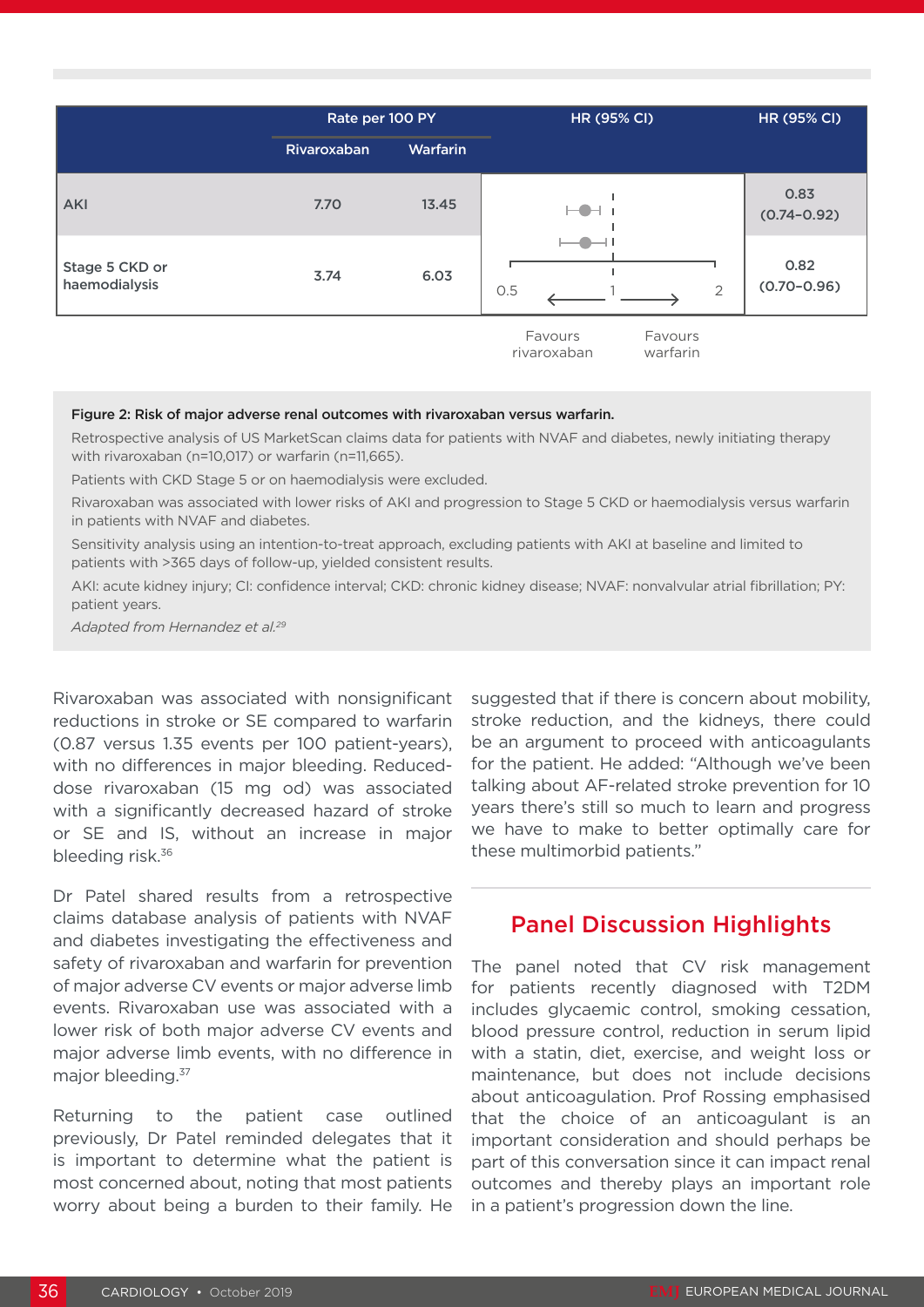|                                 | Rate per 100 PY |                 | <b>HR (95% CI)</b>                            | <b>HR (95% CI)</b>      |
|---------------------------------|-----------------|-----------------|-----------------------------------------------|-------------------------|
|                                 | Rivaroxaban     | <b>Warfarin</b> |                                               |                         |
| <b>AKI</b>                      | 7.70            | 13.45           | ———                                           | 0.83<br>$(0.74 - 0.92)$ |
| Stage 5 CKD or<br>haemodialysis | 3.74            | 6.03            | 0.5<br>$\overline{2}$                         | 0.82<br>$(0.70 - 0.96)$ |
|                                 |                 |                 | Favours<br>Favours<br>rivaroxaban<br>warfarin |                         |

#### Figure 2: Risk of major adverse renal outcomes with rivaroxaban versus warfarin.

Retrospective analysis of US MarketScan claims data for patients with NVAF and diabetes, newly initiating therapy with rivaroxaban (n=10,017) or warfarin (n=11,665).

Patients with CKD Stage 5 or on haemodialysis were excluded.

Rivaroxaban was associated with lower risks of AKI and progression to Stage 5 CKD or haemodialysis versus warfarin in patients with NVAF and diabetes.

Sensitivity analysis using an intention-to-treat approach, excluding patients with AKI at baseline and limited to patients with >365 days of follow-up, yielded consistent results.

AKI: acute kidney injury; CI: confidence interval; CKD: chronic kidney disease; NVAF: nonvalvular atrial fibrillation; PY: patient years.

*Adapted from Hernandez et al.29* 

Rivaroxaban was associated with nonsignificant reductions in stroke or SE compared to warfarin (0.87 versus 1.35 events per 100 patient-years), with no differences in major bleeding. Reduceddose rivaroxaban (15 mg od) was associated with a significantly decreased hazard of stroke or SE and IS, without an increase in major bleeding risk.<sup>36</sup>

Dr Patel shared results from a retrospective claims database analysis of patients with NVAF and diabetes investigating the effectiveness and safety of rivaroxaban and warfarin for prevention of major adverse CV events or major adverse limb events. Rivaroxaban use was associated with a lower risk of both major adverse CV events and major adverse limb events, with no difference in major bleeding.<sup>37</sup>

Returning to the patient case outlined previously, Dr Patel reminded delegates that it is important to determine what the patient is most concerned about, noting that most patients worry about being a burden to their family. He

suggested that if there is concern about mobility, stroke reduction, and the kidneys, there could be an argument to proceed with anticoagulants for the patient. He added: "Although we've been talking about AF-related stroke prevention for 10 years there's still so much to learn and progress we have to make to better optimally care for these multimorbid patients."

### Panel Discussion Highlights

The panel noted that CV risk management for patients recently diagnosed with T2DM includes glycaemic control, smoking cessation, blood pressure control, reduction in serum lipid with a statin, diet, exercise, and weight loss or maintenance, but does not include decisions about anticoagulation. Prof Rossing emphasised that the choice of an anticoagulant is an important consideration and should perhaps be part of this conversation since it can impact renal outcomes and thereby plays an important role in a patient's progression down the line.